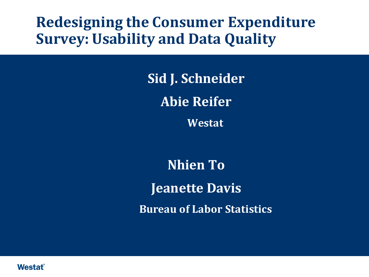# **Redesigning the Consumer Expenditure Survey: Usability and Data Quality**

**Sid J. Schneider Abie Reifer**

**Westat**

**Nhien To Jeanette Davis Bureau of Labor Statistics**

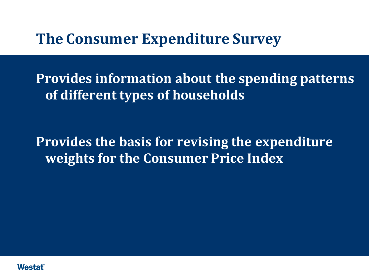## **The Consumer Expenditure Survey**

**Provides information about the spending patterns of different types of households**

**Provides the basis for revising the expenditure weights for the Consumer Price Index**

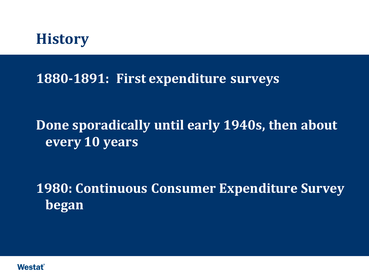

#### **1880-1891: First expenditure surveys**

# **Done sporadically until early 1940s, then about every 10 years**

**1980: Continuous Consumer Expenditure Survey began**

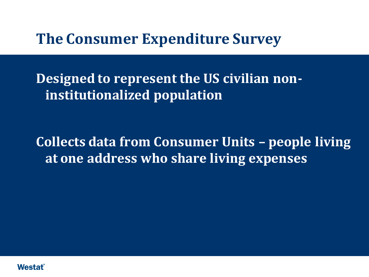## **The Consumer Expenditure Survey**

**Designed to represent the US civilian noninstitutionalized population**

**Collects data from Consumer Units – people living at one address who share living expenses**

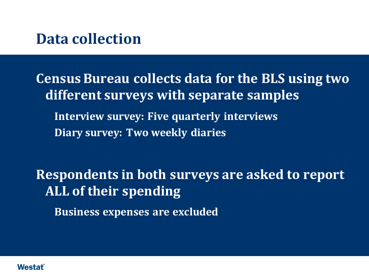## **Data collection**

**Census Bureau collects data for the BLS using two different surveys with separate samples Interview survey: Five quarterly interviews Diary survey: Two weekly diaries**

**Respondents in both surveys are asked to report ALL of their spending Business expenses are excluded** 

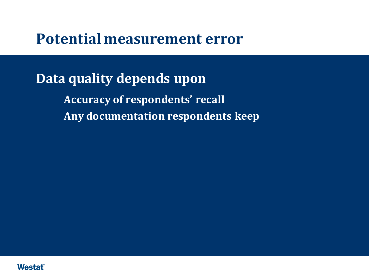#### **Potential measurement error**

**Data quality depends upon Accuracy of respondents' recall Any documentation respondents keep** 

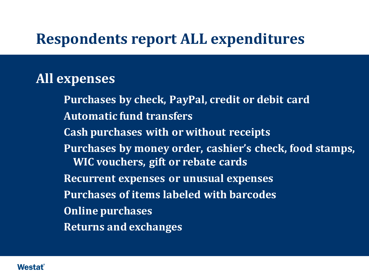# **Respondents report ALL expenditures**

#### **All expenses**

 **Purchases by check, PayPal, credit or debit card Automatic fund transfers Cash purchases with or without receipts Purchases by money order, cashier's check, food stamps, WIC vouchers, gift or rebate cards Recurrent expenses or unusual expenses Purchases of items labeled with barcodes Online purchases Returns and exchanges**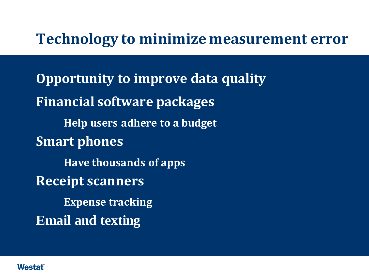## **Technology to minimize measurement error**

**Opportunity to improve data quality Financial software packages Help users adhere to a budget Smart phones Have thousands of apps Receipt scanners Expense tracking Email and texting**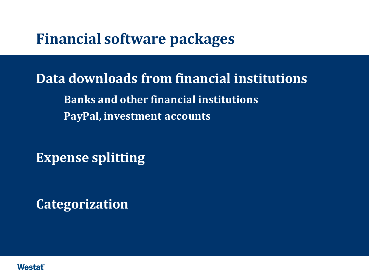# **Financial software packages**

**Data downloads from financial institutions Banks and other financial institutions PayPal, investment accounts**

**Expense splitting**

**Categorization**

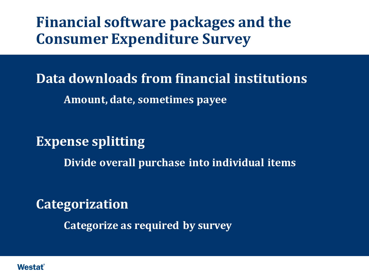**Financial software packages and the Consumer Expenditure Survey**

**Data downloads from financial institutions Amount, date, sometimes payee**

**Expense splitting**

**Divide overall purchase into individual items**

**Categorization**

**Categorize as required by survey**

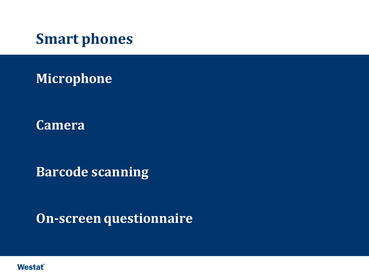**Smart phones** 

**Microphone**

**Camera**

**Barcode scanning**

**On-screen questionnaire**

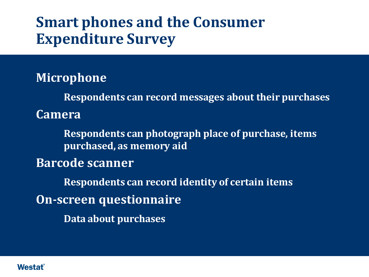# **Smart phones and the Consumer Expenditure Survey**

**Microphone**

 **Respondents can record messages about their purchases Camera**

 **Respondents can photograph place of purchase, items purchased, as memory aid**

**Barcode scanner**

 **Respondents can record identity of certain items On-screen questionnaire Data about purchases**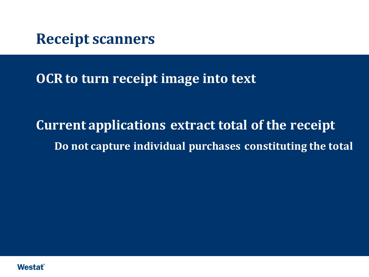**Receipt scanners**

**OCR to turn receipt image into text**

**Current applications extract total of the receipt Do not capture individual purchases constituting the total**

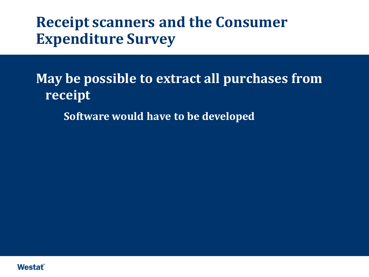# **Receipt scanners and the Consumer Expenditure Survey**

**May be possible to extract all purchases from receipt**

**Software would have to be developed**

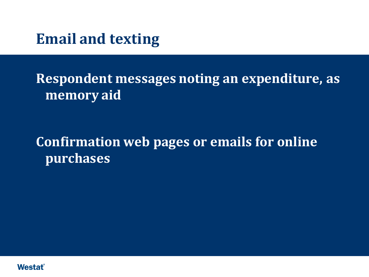**Email and texting**

**Respondent messages noting an expenditure, as memory aid**

**Confirmation web pages or emails for online purchases**

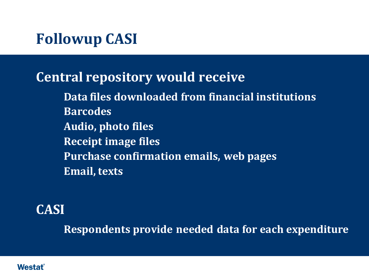# **Followup CASI**

## **Central repository would receive**

 **Data files downloaded from financial institutions Barcodes Audio, photo files Receipt image files Purchase confirmation emails, web pages Email, texts**

#### **CASI**

**Respondents provide needed data for each expenditure**

#### Westat®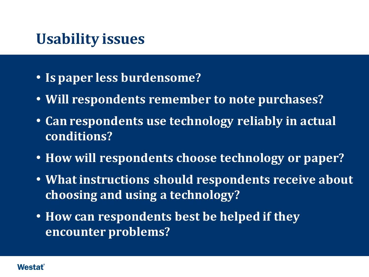# **Usability issues**

- **Is paper less burdensome?**
- **Will respondents remember to note purchases?**
- **Can respondents use technology reliably in actual conditions?**
- **How will respondents choose technology or paper?**
- **What instructions should respondents receive about choosing and using a technology?**
- **How can respondents best be helped if they encounter problems?**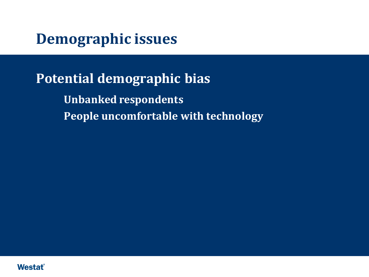**Demographic issues**

**Potential demographic bias Unbanked respondents People uncomfortable with technology** 

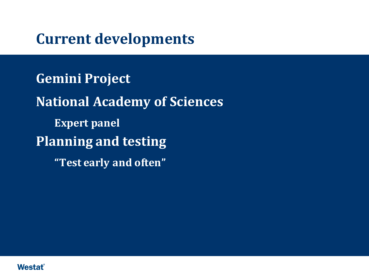# **Current developments**

**Gemini Project National Academy of Sciences Expert panel Planning and testing "Test early and often"**